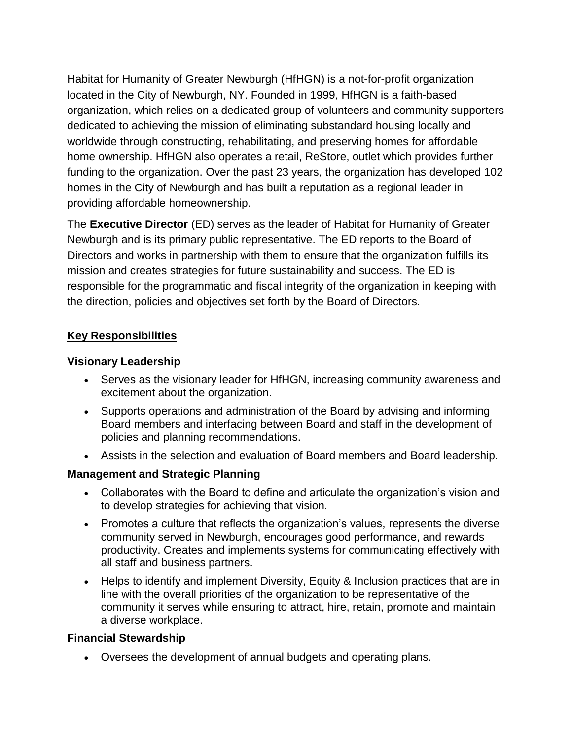Habitat for Humanity of Greater Newburgh (HfHGN) is a not-for-profit organization located in the City of Newburgh, NY. Founded in 1999, HfHGN is a faith-based organization, which relies on a dedicated group of volunteers and community supporters dedicated to achieving the mission of eliminating substandard housing locally and worldwide through constructing, rehabilitating, and preserving homes for affordable home ownership. HfHGN also operates a retail, ReStore, outlet which provides further funding to the organization. Over the past 23 years, the organization has developed 102 homes in the City of Newburgh and has built a reputation as a regional leader in providing affordable homeownership.

The **Executive Director** (ED) serves as the leader of Habitat for Humanity of Greater Newburgh and is its primary public representative. The ED reports to the Board of Directors and works in partnership with them to ensure that the organization fulfills its mission and creates strategies for future sustainability and success. The ED is responsible for the programmatic and fiscal integrity of the organization in keeping with the direction, policies and objectives set forth by the Board of Directors.

# **Key Responsibilities**

# **Visionary Leadership**

- Serves as the visionary leader for HfHGN, increasing community awareness and excitement about the organization.
- Supports operations and administration of the Board by advising and informing Board members and interfacing between Board and staff in the development of policies and planning recommendations.
- Assists in the selection and evaluation of Board members and Board leadership.

# **Management and Strategic Planning**

- Collaborates with the Board to define and articulate the organization's vision and to develop strategies for achieving that vision.
- Promotes a culture that reflects the organization's values, represents the diverse community served in Newburgh, encourages good performance, and rewards productivity. Creates and implements systems for communicating effectively with all staff and business partners.
- Helps to identify and implement Diversity, Equity & Inclusion practices that are in line with the overall priorities of the organization to be representative of the community it serves while ensuring to attract, hire, retain, promote and maintain a diverse workplace.

# **Financial Stewardship**

Oversees the development of annual budgets and operating plans.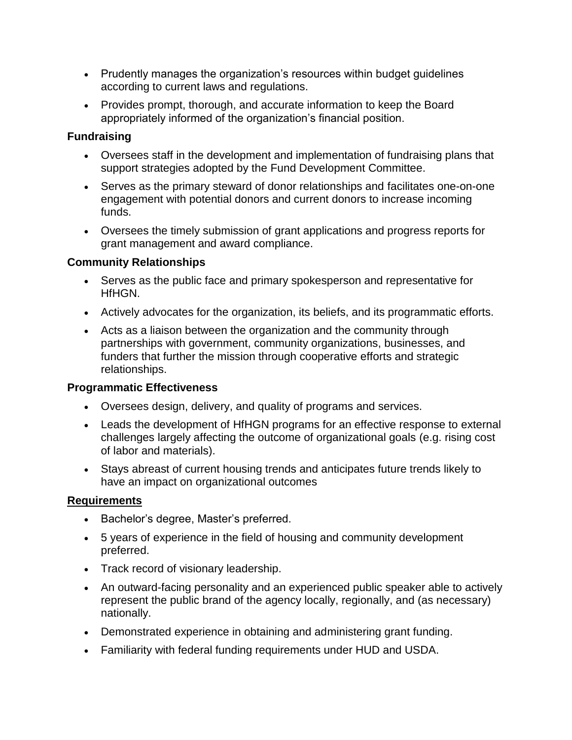- Prudently manages the organization's resources within budget guidelines according to current laws and regulations.
- Provides prompt, thorough, and accurate information to keep the Board appropriately informed of the organization's financial position.

### **Fundraising**

- Oversees staff in the development and implementation of fundraising plans that support strategies adopted by the Fund Development Committee.
- Serves as the primary steward of donor relationships and facilitates one-on-one engagement with potential donors and current donors to increase incoming funds.
- Oversees the timely submission of grant applications and progress reports for grant management and award compliance.

#### **Community Relationships**

- Serves as the public face and primary spokesperson and representative for HfHGN.
- Actively advocates for the organization, its beliefs, and its programmatic efforts.
- Acts as a liaison between the organization and the community through partnerships with government, community organizations, businesses, and funders that further the mission through cooperative efforts and strategic relationships.

#### **Programmatic Effectiveness**

- Oversees design, delivery, and quality of programs and services.
- Leads the development of HfHGN programs for an effective response to external challenges largely affecting the outcome of organizational goals (e.g. rising cost of labor and materials).
- Stays abreast of current housing trends and anticipates future trends likely to have an impact on organizational outcomes

# **Requirements**

- Bachelor's degree, Master's preferred.
- 5 years of experience in the field of housing and community development preferred.
- Track record of visionary leadership.
- An outward-facing personality and an experienced public speaker able to actively represent the public brand of the agency locally, regionally, and (as necessary) nationally.
- Demonstrated experience in obtaining and administering grant funding.
- Familiarity with federal funding requirements under HUD and USDA.